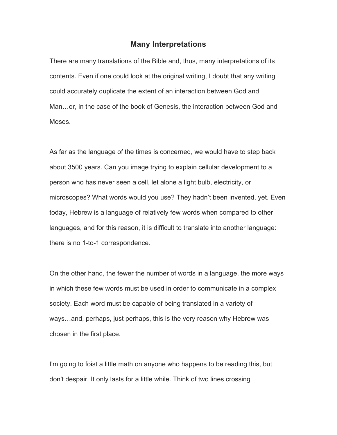## **Many Interpretations**

There are many translations of the Bible and, thus, many interpretations of its contents. Even if one could look at the original writing, I doubt that any writing could accurately duplicate the extent of an interaction between God and Man…or, in the case of the book of Genesis, the interaction between God and Moses.

As far as the language of the times is concerned, we would have to step back about 3500 years. Can you image trying to explain cellular development to a person who has never seen a cell, let alone a light bulb, electricity, or microscopes? What words would you use? They hadn't been invented, yet. Even today, Hebrew is a language of relatively few words when compared to other languages, and for this reason, it is difficult to translate into another language: there is no 1-to-1 correspondence.

On the other hand, the fewer the number of words in a language, the more ways in which these few words must be used in order to communicate in a complex society. Each word must be capable of being translated in a variety of ways…and, perhaps, just perhaps, this is the very reason why Hebrew was chosen in the first place.

I'm going to foist a little math on anyone who happens to be reading this, but don't despair. It only lasts for a little while. Think of two lines crossing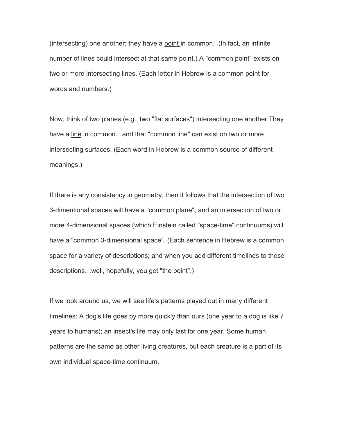(intersecting) one another; they have a point in common. (In fact, an infinite number of lines could intersect at that same point.) A "common point" exists on two or more intersecting lines. (Each letter in Hebrew is a common point for words and numbers.)

Now, think of two planes (e.g., two "flat surfaces") intersecting one another:They have a line in common…and that "common line" can exist on two or more intersecting surfaces. (Each word in Hebrew is a common source of different meanings.)

If there is any consistency in geometry, then it follows that the intersection of two 3-dimentional spaces will have a "common plane", and an intersection of two or more 4-dimensional spaces (which Einstein called "space-time" continuums) will have a "common 3-dimensional space". (Each sentence in Hebrew is a common space for a variety of descriptions; and when you add different timelines to these descriptions…well, hopefully, you get "the point".)

If we look around us, we will see life's patterns played out in many different timelines: A dog's life goes by more quickly than ours (one year to a dog is like 7 years to humans); an insect's life may only last for one year. Some human patterns are the same as other living creatures, but each creature is a part of its own individual space-time continuum.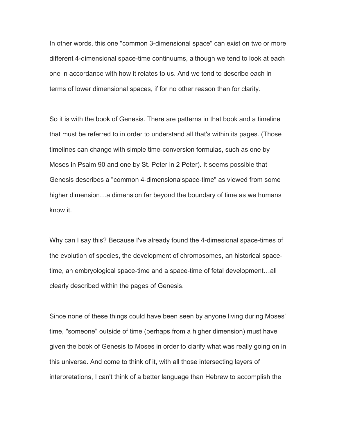In other words, this one "common 3-dimensional space" can exist on two or more different 4-dimensional space-time continuums, although we tend to look at each one in accordance with how it relates to us. And we tend to describe each in terms of lower dimensional spaces, if for no other reason than for clarity.

So it is with the book of Genesis. There are patterns in that book and a timeline that must be referred to in order to understand all that's within its pages. (Those timelines can change with simple time-conversion formulas, such as one by Moses in Psalm 90 and one by St. Peter in 2 Peter). It seems possible that Genesis describes a "common 4-dimensionalspace-time" as viewed from some higher dimension…a dimension far beyond the boundary of time as we humans know it.

Why can I say this? Because I've already found the 4-dimesional space-times of the evolution of species, the development of chromosomes, an historical spacetime, an embryological space-time and a space-time of fetal development…all clearly described within the pages of Genesis.

Since none of these things could have been seen by anyone living during Moses' time, "someone" outside of time (perhaps from a higher dimension) must have given the book of Genesis to Moses in order to clarify what was really going on in this universe. And come to think of it, with all those intersecting layers of interpretations, I can't think of a better language than Hebrew to accomplish the